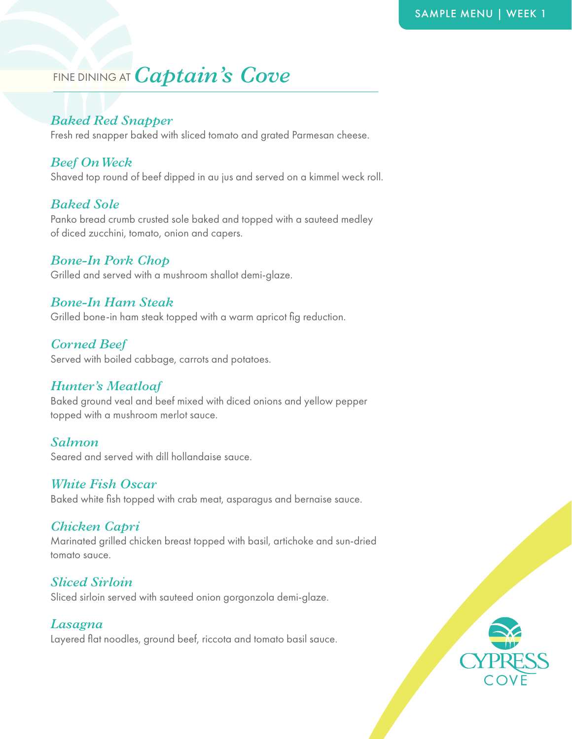# FINE DINING AT *Captain's Cove*

# *Baked Red Snapper*

Fresh red snapper baked with sliced tomato and grated Parmesan cheese.

# *Beef On Weck*

Shaved top round of beef dipped in au jus and served on a kimmel weck roll.

# *Baked Sole*

Panko bread crumb crusted sole baked and topped with a sauteed medley of diced zucchini, tomato, onion and capers.

# *Bone-In Pork Chop*

Grilled and served with a mushroom shallot demi-glaze.

# *Bone-In Ham Steak*

Grilled bone-in ham steak topped with a warm apricot fig reduction.

# *Corned Beef*

Served with boiled cabbage, carrots and potatoes.

# *Hunter's Meatloaf*

Baked ground veal and beef mixed with diced onions and yellow pepper topped with a mushroom merlot sauce.

#### *Salmon*

Seared and served with dill hollandaise sauce.

#### *White Fish Oscar*

Baked white fish topped with crab meat, asparagus and bernaise sauce.

#### *Chicken Capri*

Marinated grilled chicken breast topped with basil, artichoke and sun-dried tomato sauce.

#### *Sliced Sirloin*

Sliced sirloin served with sauteed onion gorgonzola demi-glaze.

#### *Lasagna*

Layered flat noodles, ground beef, riccota and tomato basil sauce.

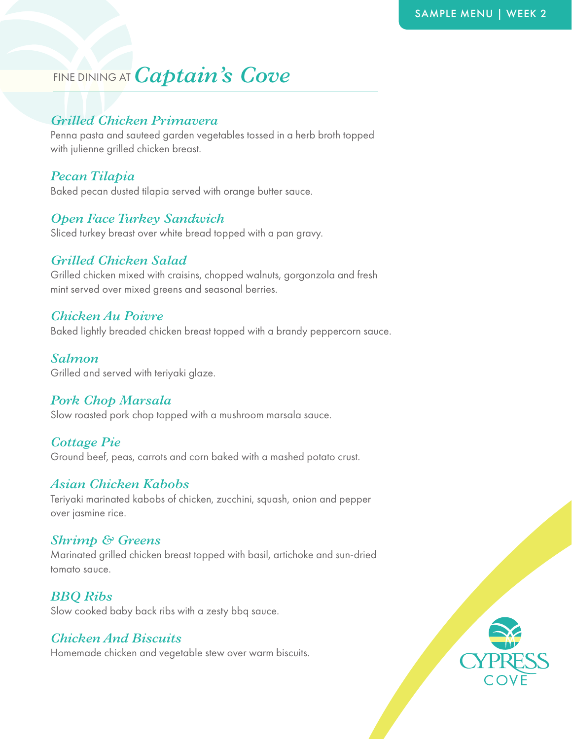# FINE DINING AT *Captain's Cove*

# *Grilled Chicken Primavera*

Penna pasta and sauteed garden vegetables tossed in a herb broth topped with julienne grilled chicken breast.

#### *Pecan Tilapia*

Baked pecan dusted tilapia served with orange butter sauce.

#### *Open Face Turkey Sandwich*

Sliced turkey breast over white bread topped with a pan gravy.

#### *Grilled Chicken Salad*

Grilled chicken mixed with craisins, chopped walnuts, gorgonzola and fresh mint served over mixed greens and seasonal berries.

#### *Chicken Au Poivre*

Baked lightly breaded chicken breast topped with a brandy peppercorn sauce.

#### *Salmon*

Grilled and served with teriyaki glaze.

#### *Pork Chop Marsala*

Slow roasted pork chop topped with a mushroom marsala sauce.

#### *Cottage Pie*

Ground beef, peas, carrots and corn baked with a mashed potato crust.

#### *Asian Chicken Kabobs*

Teriyaki marinated kabobs of chicken, zucchini, squash, onion and pepper over jasmine rice.

#### *Shrimp & Greens*

Marinated grilled chicken breast topped with basil, artichoke and sun-dried tomato sauce.

*BBQ Ribs*  Slow cooked baby back ribs with a zesty bbq sauce.

# *Chicken And Biscuits*

Homemade chicken and vegetable stew over warm biscuits.